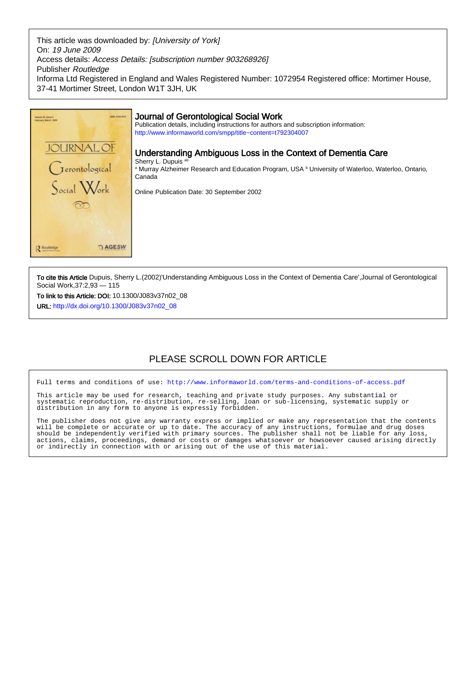This article was downloaded by: [University of York] On: 19 June 2009 Access details: Access Details: [subscription number 903268926] Publisher Routledge Informa Ltd Registered in England and Wales Registered Number: 1072954 Registered office: Mortimer House, 37-41 Mortimer Street, London W1T 3JH, UK



To cite this Article Dupuis, Sherry L.(2002)'Understanding Ambiguous Loss in the Context of Dementia Care',Journal of Gerontological Social Work,37:2,93 — 115

To link to this Article: DOI: 10.1300/J083v37n02\_08 URL: [http://dx.doi.org/10.1300/J083v37n02\\_08](http://dx.doi.org/10.1300/J083v37n02_08)

# PLEASE SCROLL DOWN FOR ARTICLE

Full terms and conditions of use:<http://www.informaworld.com/terms-and-conditions-of-access.pdf>

This article may be used for research, teaching and private study purposes. Any substantial or systematic reproduction, re-distribution, re-selling, loan or sub-licensing, systematic supply or distribution in any form to anyone is expressly forbidden.

The publisher does not give any warranty express or implied or make any representation that the contents will be complete or accurate or up to date. The accuracy of any instructions, formulae and drug doses should be independently verified with primary sources. The publisher shall not be liable for any loss, actions, claims, proceedings, demand or costs or damages whatsoever or howsoever caused arising directly or indirectly in connection with or arising out of the use of this material.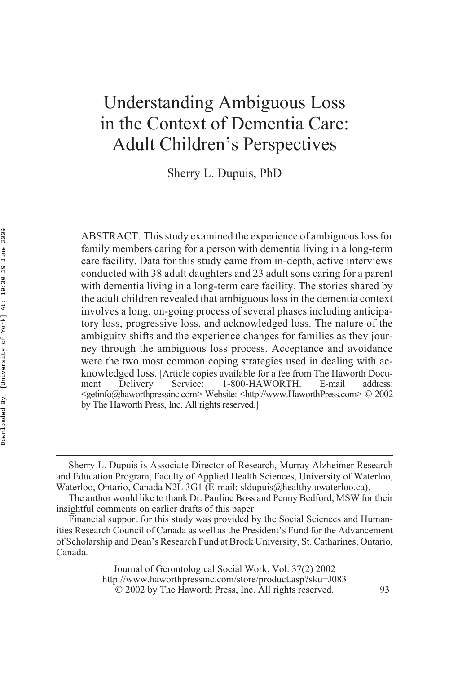# Understanding Ambiguous Loss in the Context of Dementia Care: Adult Children's Perspectives

Sherry L. Dupuis, PhD

**ABSTRACT.** This study examined the experience of ambiguous loss for family members caring for a person with dementia living in a long-term care facility. Data for this study came from in-depth, active interviews conducted with 38 adult daughters and 23 adult sons caring for a parent with dementia living in a long-term care facility. The stories shared by the adult children revealed that ambiguous loss in the dementia context involves a long, on-going process of several phases including *anticipatory loss, progressive loss,* and *acknowledged loss*. The nature of the ambiguity shifts and the experience changes for families as they journey through the ambiguous loss process. Acceptance and avoidance were the two most comm[on](http://www.haworthpressinc.com/store/product.asp?sku=J083) [coping](http://www.haworthpressinc.com/store/product.asp?sku=J083) [strategies](http://www.haworthpressinc.com/store/product.asp?sku=J083) [used](http://www.haworthpressinc.com/store/product.asp?sku=J083) [in](http://www.haworthpressinc.com/store/product.asp?sku=J083) [dealing](http://www.haworthpressinc.com/store/product.asp?sku=J083) [with](http://www.haworthpressinc.com/store/product.asp?sku=J083) [ac](http://www.haworthpressinc.com/store/product.asp?sku=J083)knowledged loss. *[Article copies available for a fee from The Haworth Document Delivery Service: 1-800-HAWORTH. E-mail address: <getinfo@haworthpressinc.com> Website: <http://www.HaworthPress.com> © 2002 by The Haworth Press, Inc. All rights reserved.]*

Sherry L. Dupuis is Associate Director of Research, Murray Alzheimer Research and Education Program, Faculty of Applied Health Sciences, University of Waterloo, Waterloo, Ontario, Canada N2L 3G1 (E-mail: sldupuis@healthy.uwaterloo.ca).

The author would like to thank Dr. Pauline Boss and Penny Bedford, MSW for their insightful comments on earlier drafts of this paper.

Financial support for this study was provided by the Social Sciences and Humanities Research Council of Canada as well as the President's Fund for the Advancement of Scholarship and Dean's Research Fund at Brock University, St. Catharines, Ontario, Canada.

Journal of Gerontological Social Work, Vol. 37(2) 2002 http://www.haworthpressinc.com/store/product.asp?sku=J083 2002 by The Haworth Press, Inc. All rights reserved. *93*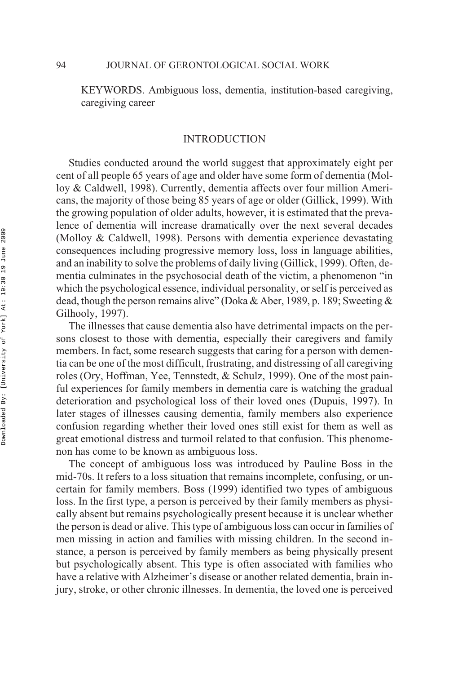**KEYWORDS.** Ambiguous loss, dementia, institution-based caregiving, caregiving career

# *INTRODUCTION*

Studies conducted around the world suggest that approximately eight per cent of all people 65 years of age and older have some form of dementia (Molloy & Caldwell, 1998). Currently, dementia affects over four million Americans, the majority of those being 85 years of age or older (Gillick, 1999). With the growing population of older adults, however, it is estimated that the prevalence of dementia will increase dramatically over the next several decades (Molloy & Caldwell, 1998). Persons with dementia experience devastating consequences including progressive memory loss, loss in language abilities, and an inability to solve the problems of daily living (Gillick, 1999). Often, dementia culminates in the psychosocial death of the victim, a phenomenon "in which the psychological essence, individual personality, or self is perceived as dead, though the person remains alive" (Doka & Aber, 1989, p. 189; Sweeting & Gilhooly, 1997).

The illnesses that cause dementia also have detrimental impacts on the persons closest to those with dementia, especially their caregivers and family members. In fact, some research suggests that caring for a person with dementia can be one of the most difficult, frustrating, and distressing of all caregiving roles (Ory, Hoffman, Yee, Tennstedt, & Schulz, 1999). One of the most painful experiences for family members in dementia care is watching the gradual deterioration and psychological loss of their loved ones (Dupuis, 1997). In later stages of illnesses causing dementia, family members also experience confusion regarding whether their loved ones still exist for them as well as great emotional distress and turmoil related to that confusion. This phenomenon has come to be known as *ambiguous loss*.

The concept of ambiguous loss was introduced by Pauline Boss in the mid-70s. It refers to a loss situation that remains incomplete, confusing, or uncertain for family members. Boss (1999) identified two types of ambiguous loss. In the first type, a person is perceived by their family members as physically absent but remains psychologically present because it is unclear whether the person is dead or alive. This type of ambiguous loss can occur in families of men missing in action and families with missing children. In the second instance, a person is perceived by family members as being physically present but psychologically absent. This type is often associated with families who have a relative with Alzheimer's disease or another related dementia, brain injury, stroke, or other chronic illnesses. In dementia, the loved one is perceived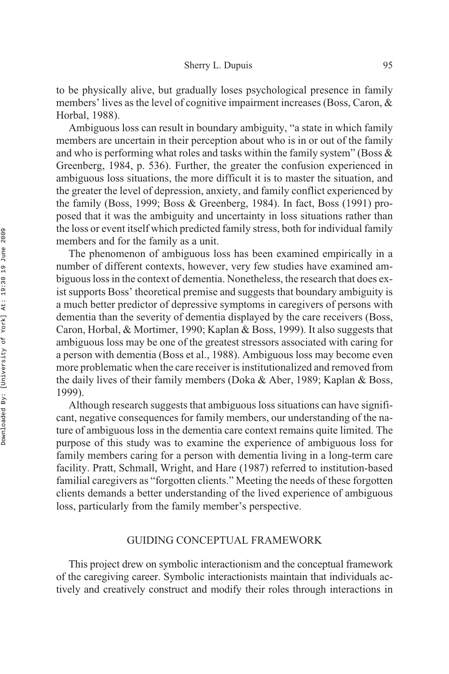to be physically alive, but gradually loses psychological presence in family members' lives as the level of cognitive impairment increases (Boss, Caron, & Horbal, 1988).

Ambiguous loss can result in boundary ambiguity, "a state in which family members are uncertain in their perception about who is in or out of the family and who is performing what roles and tasks within the family system" (Boss  $\&$ Greenberg, 1984, p. 536). Further, the greater the confusion experienced in ambiguous loss situations, the more difficult it is to master the situation, and the greater the level of depression, anxiety, and family conflict experienced by the family (Boss, 1999; Boss & Greenberg, 1984). In fact, Boss (1991) proposed that it was the ambiguity and uncertainty in loss situations rather than the loss or event itself which predicted family stress, both for individual family members and for the family as a unit.

The phenomenon of ambiguous loss has been examined empirically in a number of different contexts, however, very few studies have examined ambiguous loss in the context of dementia. Nonetheless, the research that does exist supports Boss' theoretical premise and suggests that boundary ambiguity is a much better predictor of depressive symptoms in caregivers of persons with dementia than the severity of dementia displayed by the care receivers (Boss, Caron, Horbal, & Mortimer, 1990; Kaplan & Boss, 1999). It also suggests that ambiguous loss may be one of the greatest stressors associated with caring for a person with dementia (Boss et al., 1988). Ambiguous loss may become even more problematic when the care receiver is institutionalized and removed from the daily lives of their family members (Doka & Aber, 1989; Kaplan & Boss, 1999).

Although research suggests that ambiguous loss situations can have significant, negative consequences for family members, our understanding of the nature of ambiguous loss in the dementia care context remains quite limited. The purpose of this study was to examine the experience of ambiguous loss for family members caring for a person with dementia living in a long-term care facility. Pratt, Schmall, Wright, and Hare (1987) referred to institution-based familial caregivers as "forgotten clients." Meeting the needs of these forgotten clients demands a better understanding of the lived experience of ambiguous loss, particularly from the family member's perspective.

# *GUIDING CONCEPTUAL FRAMEWORK*

This project drew on symbolic interactionism and the conceptual framework of the caregiving career. Symbolic interactionists maintain that individuals actively and creatively construct and modify their roles through interactions in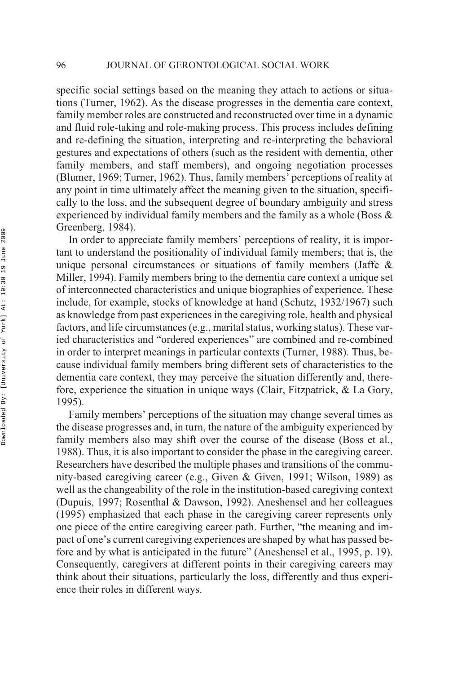specific social settings based on the meaning they attach to actions or situations (Turner, 1962). As the disease progresses in the dementia care context, family member roles are constructed and reconstructed over time in a dynamic and fluid role-taking and role-making process. This process includes defining and re-defining the situation, interpreting and re-interpreting the behavioral gestures and expectations of others (such as the resident with dementia, other family members, and staff members), and ongoing negotiation processes (Blumer, 1969; Turner, 1962). Thus, family members' perceptions of reality at any point in time ultimately affect the meaning given to the situation, specifically to the loss, and the subsequent degree of boundary ambiguity and stress experienced by individual family members and the family as a whole (Boss  $\&$ Greenberg, 1984).

In order to appreciate family members' perceptions of reality, it is important to understand the *positionality* of individual family members; that is, the unique personal circumstances or situations of family members (Jaffe  $\&$ Miller, 1994). Family members bring to the dementia care context a unique set of interconnected characteristics and unique biographies of experience. These include, for example, stocks of knowledge at hand (Schutz, 1932/1967) such as knowledge from past experiences in the caregiving role, health and physical factors, and life circumstances (e.g., marital status, working status). These varied characteristics and "ordered experiences" are combined and re-combined in order to interpret meanings in particular contexts (Turner, 1988). Thus, because individual family members bring different sets of characteristics to the dementia care context, they may perceive the situation differently and, therefore, experience the situation in unique ways (Clair, Fitzpatrick, & La Gory, 1995).

Family members' perceptions of the situation may change several times as the disease progresses and, in turn, the nature of the ambiguity experienced by family members also may shift over the course of the disease (Boss et al., 1988). Thus, it is also important to consider the phase in the caregiving career. Researchers have described the multiple phases and transitions of the community-based caregiving career (e.g., Given & Given, 1991; Wilson, 1989) as well as the changeability of the role in the institution-based caregiving context (Dupuis, 1997; Rosenthal & Dawson, 1992). Aneshensel and her colleagues (1995) emphasized that each phase in the caregiving career represents only one piece of the entire caregiving career path. Further, "the meaning and impact of one's current caregiving experiences are shaped by what has passed before and by what is anticipated in the future" (Aneshensel et al., 1995, p. 19). Consequently, caregivers at different points in their caregiving careers may think about their situations, particularly the loss, differently and thus experience their roles in different ways.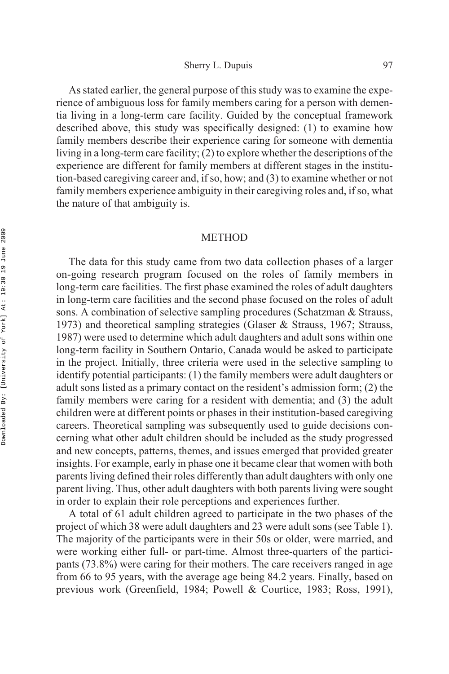As stated earlier, the general purpose of this study was to examine the experience of ambiguous loss for family members caring for a person with dementia living in a long-term care facility. Guided by the conceptual framework described above, this study was specifically designed: (1) to examine how family members describe their experience caring for someone with dementia living in a long-term care facility; (2) to explore whether the descriptions of the experience are different for family members at different stages in the institution-based caregiving career and, if so, how; and (3) to examine whether or not family members experience ambiguity in their caregiving roles and, if so, what the nature of that ambiguity is.

# *METHOD*

The data for this study came from two data collection phases of a larger on-going research program focused on the roles of family members in long-term care facilities. The first phase examined the roles of adult daughters in long-term care facilities and the second phase focused on the roles of adult sons. A combination of selective sampling procedures (Schatzman & Strauss, 1973) and theoretical sampling strategies (Glaser & Strauss, 1967; Strauss, 1987) were used to determine which adult daughters and adult sons within one long-term facility in Southern Ontario, Canada would be asked to participate in the project. Initially, three criteria were used in the selective sampling to identify potential participants: (1) the family members were adult daughters or adult sons listed as a primary contact on the resident's admission form; (2) the family members were caring for a resident with dementia; and (3) the adult children were at different points or phases in their institution-based caregiving careers. Theoretical sampling was subsequently used to guide decisions concerning what other adult children should be included as the study progressed and new concepts, patterns, themes, and issues emerged that provided greater insights. For example, early in phase one it became clear that women with both parents living defined their roles differently than adult daughters with only one parent living. Thus, other adult daughters with both parents living were sought in order to explain their role perceptions and experiences further.

A total of 61 adult children agreed to participate in the two phases of the project of which 38 were adult daughters and 23 were adult sons (see Table 1). The majority of the participants were in their 50s or older, were married, and were working either full- or part-time. Almost three-quarters of the participants (73.8%) were caring for their mothers. The care receivers ranged in age from 66 to 95 years, with the average age being 84.2 years. Finally, based on previous work (Greenfield, 1984; Powell & Courtice, 1983; Ross, 1991),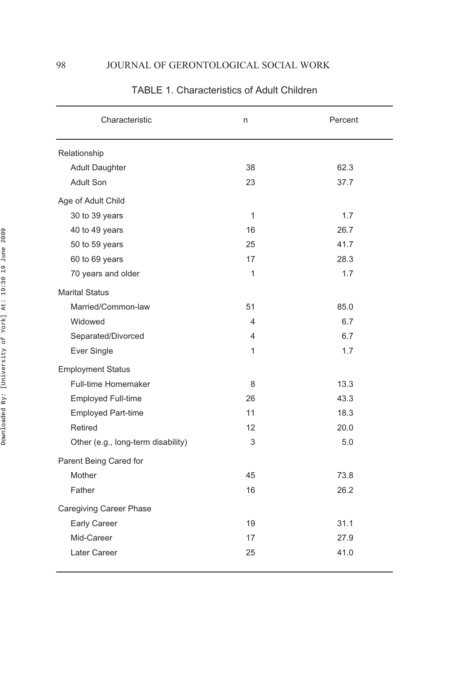| Characteristic                     | n            | Percent |
|------------------------------------|--------------|---------|
| Relationship                       |              |         |
| <b>Adult Daughter</b>              | 38           | 62.3    |
| Adult Son                          | 23           | 37.7    |
| Age of Adult Child                 |              |         |
| 30 to 39 years                     | $\mathbf{1}$ | 1.7     |
| 40 to 49 years                     | 16           | 26.7    |
| 50 to 59 years                     | 25           | 41.7    |
| 60 to 69 years                     | 17           | 28.3    |
| 70 years and older                 | 1            | 1.7     |
| <b>Marital Status</b>              |              |         |
| Married/Common-law                 | 51           | 85.0    |
| Widowed                            | 4            | 6.7     |
| Separated/Divorced                 | 4            | 6.7     |
| Ever Single                        | 1            | 1.7     |
| <b>Employment Status</b>           |              |         |
| <b>Full-time Homemaker</b>         | 8            | 13.3    |
| Employed Full-time                 | 26           | 43.3    |
| <b>Employed Part-time</b>          | 11           | 18.3    |
| Retired                            | 12           | 20.0    |
| Other (e.g., long-term disability) | 3            | 5.0     |
| Parent Being Cared for             |              |         |
| Mother                             | 45           | 73.8    |
| Father                             | 16           | 26.2    |
| <b>Caregiving Career Phase</b>     |              |         |
| Early Career                       | 19           | 31.1    |
| Mid-Career                         | 17           | 27.9    |
| Later Career                       | 25           | 41.0    |

# TABLE 1. Characteristics of Adult Children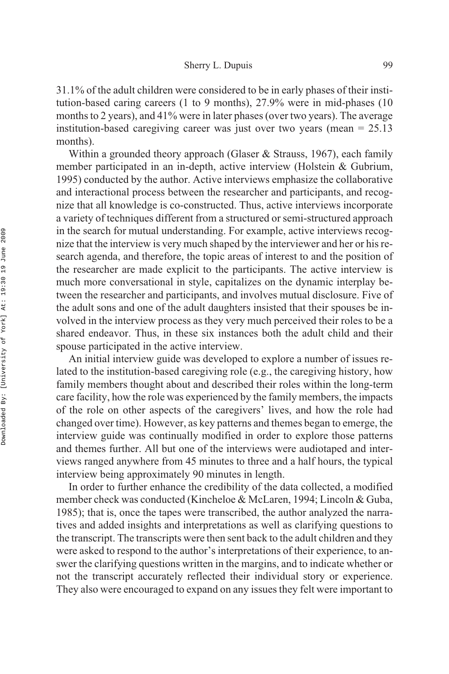31.1% of the adult children were considered to be in early phases of their institution-based caring careers (1 to 9 months), 27.9% were in mid-phases (10 months to 2 years), and 41% were in later phases (over two years). The average institution-based caregiving career was just over two years (mean  $= 25.13$ ) months).

Within a grounded theory approach (Glaser & Strauss, 1967), each family member participated in an in-depth, active interview (Holstein & Gubrium, 1995) conducted by the author. Active interviews emphasize the collaborative and interactional process between the researcher and participants, and recognize that all knowledge is co-constructed. Thus, active interviews incorporate a variety of techniques different from a structured or semi-structured approach in the search for mutual understanding. For example, active interviews recognize that the interview is very much shaped by the interviewer and her or his research agenda, and therefore, the topic areas of interest to and the position of the researcher are made explicit to the participants. The active interview is much more conversational in style, capitalizes on the dynamic interplay between the researcher and participants, and involves mutual disclosure. Five of the adult sons and one of the adult daughters insisted that their spouses be involved in the interview process as they very much perceived their roles to be a shared endeavor. Thus, in these six instances both the adult child and their spouse participated in the active interview.

An initial interview guide was developed to explore a number of issues related to the institution-based caregiving role (e.g., the caregiving history, how family members thought about and described their roles within the long-term care facility, how the role was experienced by the family members, the impacts of the role on other aspects of the caregivers' lives, and how the role had changed over time). However, as key patterns and themes began to emerge, the interview guide was continually modified in order to explore those patterns and themes further. All but one of the interviews were audiotaped and interviews ranged anywhere from 45 minutes to three and a half hours, the typical interview being approximately 90 minutes in length.

In order to further enhance the credibility of the data collected, a modified member check was conducted (Kincheloe & McLaren, 1994; Lincoln & Guba, 1985); that is, once the tapes were transcribed, the author analyzed the narratives and added insights and interpretations as well as clarifying questions to the transcript. The transcripts were then sent back to the adult children and they were asked to respond to the author's interpretations of their experience, to answer the clarifying questions written in the margins, and to indicate whether or not the transcript accurately reflected their individual story or experience. They also were encouraged to expand on any issues they felt were important to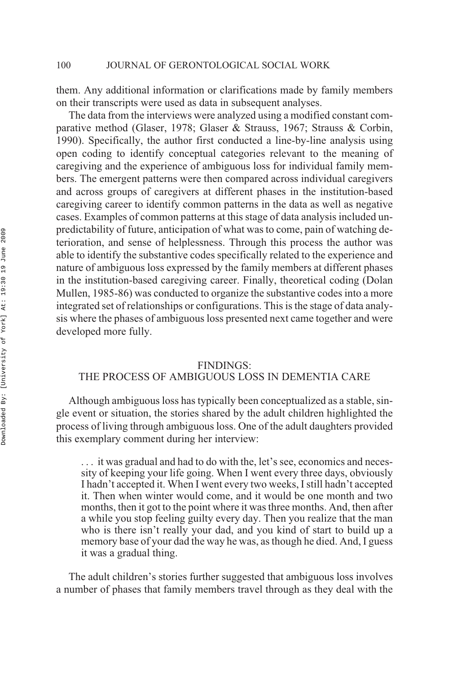them. Any additional information or clarifications made by family members on their transcripts were used as data in subsequent analyses.

The data from the interviews were analyzed using a modified constant comparative method (Glaser, 1978; Glaser & Strauss, 1967; Strauss & Corbin, 1990). Specifically, the author first conducted a line-by-line analysis using open coding to identify conceptual categories relevant to the meaning of caregiving and the experience of ambiguous loss for individual family members. The emergent patterns were then compared across individual caregivers and across groups of caregivers at different phases in the institution-based caregiving career to identify common patterns in the data as well as negative cases. Examples of common patterns at this stage of data analysis included unpredictability of future, anticipation of what was to come, pain of watching deterioration, and sense of helplessness. Through this process the author was able to identify the substantive codes specifically related to the experience and nature of ambiguous loss expressed by the family members at different phases in the institution-based caregiving career. Finally, theoretical coding (Dolan Mullen, 1985-86) was conducted to organize the substantive codes into a more integrated set of relationships or configurations. This is the stage of data analysis where the phases of ambiguous loss presented next came together and were developed more fully.

#### *FINDINGS:*

# *THE PROCESS OF AMBIGUOUS LOSS IN DEMENTIA CARE*

Although ambiguous loss has typically been conceptualized as a stable, single event or situation, the stories shared by the adult children highlighted the *process* of living through ambiguous loss. One of the adult daughters provided this exemplary comment during her interview:

. . . it was gradual and had to do with the, let's see, economics and necessity of keeping your life going. When I went every three days, obviously I hadn't accepted it. When I went every two weeks, I still hadn't accepted it. Then when winter would come, and it would be one month and two months, then it got to the point where it was three months. And, then after a while you stop feeling guilty every day. Then you realize that the man who is there isn't really your dad, and you kind of start to build up a memory base of your dad the way he was, as though he died. And, I guess it was a gradual thing.

The adult children's stories further suggested that ambiguous loss involves a number of phases that family members travel through as they deal with the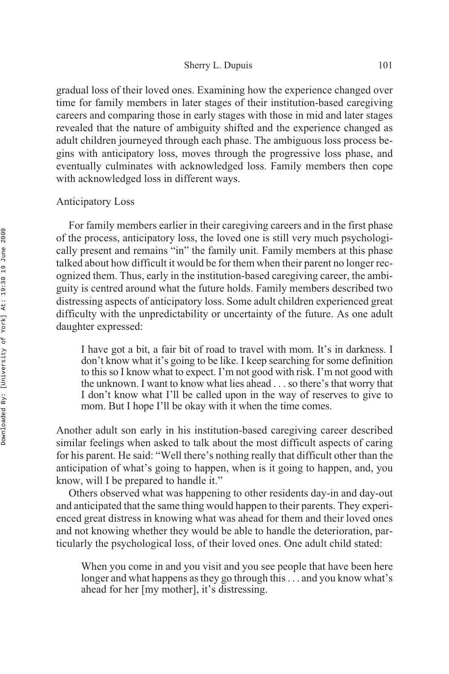gradual loss of their loved ones. Examining how the experience changed over time for family members in later stages of their institution-based caregiving careers and comparing those in early stages with those in mid and later stages revealed that the nature of ambiguity shifted and the experience changed as adult children journeyed through each phase. The ambiguous loss process begins with *anticipatory loss,* moves through the *progressive loss* phase, and eventually culminates with *acknowledged loss*. Family members then cope with acknowledged loss in different ways.

#### *Anticipatory Loss*

For family members earlier in their caregiving careers and in the first phase of the process, anticipatory loss, the loved one is still very much psychologically present and remains "in" the family unit. Family members at this phase talked about how difficult it would be for them when their parent no longer recognized them. Thus, early in the institution-based caregiving career, the ambiguity is centred around what the future holds. Family members described two distressing aspects of anticipatory loss. Some adult children experienced great difficulty with the unpredictability or uncertainty of the future. As one adult daughter expressed:

I have got a bit, a fair bit of road to travel with mom. It's in darkness. I don't know what it's going to be like. I keep searching for some definition to this so I know what to expect. I'm not good with risk. I'm not good with the unknown. I want to know what lies ahead . . . so there's that worry that I don't know what I'll be called upon in the way of reserves to give to mom. But I hope I'll be okay with it when the time comes.

Another adult son early in his institution-based caregiving career described similar feelings when asked to talk about the most difficult aspects of caring for his parent. He said: "Well there's nothing really that difficult other than the anticipation of what's going to happen, when is it going to happen, and, you know, will I be prepared to handle it."

Others observed what was happening to other residents day-in and day-out and anticipated that the same thing would happen to their parents. They experienced great distress in knowing what was ahead for them and their loved ones and not knowing whether they would be able to handle the deterioration, particularly the psychological loss, of their loved ones. One adult child stated:

When you come in and you visit and you see people that have been here longer and what happens as they go through this . . . and you know what's ahead for her [my mother], it's distressing.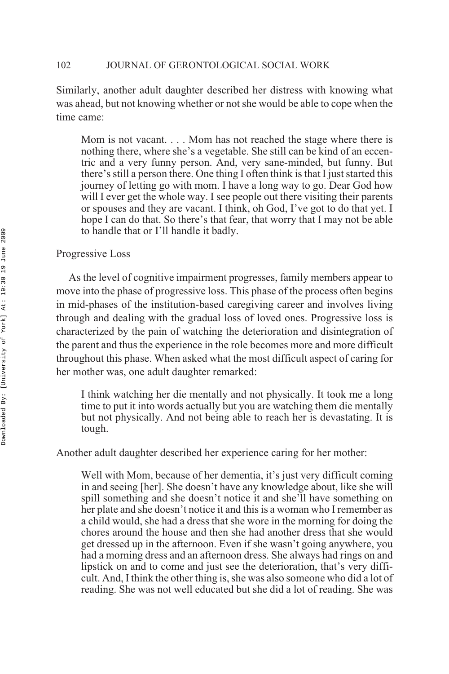Similarly, another adult daughter described her distress with knowing what was ahead, but not knowing whether or not she would be able to cope when the time came:

Mom is not vacant. . . . Mom has not reached the stage where there is nothing there, where she's a vegetable. She still can be kind of an eccentric and a very funny person. And, very sane-minded, but funny. But there's still a person there. One thing I often think is that I just started this journey of letting go with mom. I have a long way to go. Dear God how will I ever get the whole way. I see people out there visiting their parents or spouses and they are vacant. I think, oh God, I've got to do that yet. I hope I can do that. So there's that fear, that worry that I may not be able to handle that or I'll handle it badly.

#### *Progressive Loss*

As the level of cognitive impairment progresses, family members appear to move into the phase of progressive loss. This phase of the process often begins in mid-phases of the institution-based caregiving career and involves living through and dealing with the gradual loss of loved ones. Progressive loss is characterized by the pain of watching the deterioration and disintegration of the parent and thus the experience in the role becomes more and more difficult throughout this phase. When asked what the most difficult aspect of caring for her mother was, one adult daughter remarked:

I think watching her die mentally and not physically. It took me a long time to put it into words actually but you are watching them die mentally but not physically. And not being able to reach her is devastating. It is tough.

Another adult daughter described her experience caring for her mother:

Well with Mom, because of her dementia, it's just very difficult coming in and seeing [her]. She doesn't have any knowledge about, like she will spill something and she doesn't notice it and she'll have something on her plate and she doesn't notice it and this is a woman who I remember as a child would, she had a dress that she wore in the morning for doing the chores around the house and then she had another dress that she would get dressed up in the afternoon. Even if she wasn't going anywhere, you had a morning dress and an afternoon dress. She always had rings on and lipstick on and to come and just see the deterioration, that's very difficult. And, I think the other thing is, she was also someone who did a lot of reading. She was not well educated but she did a lot of reading. She was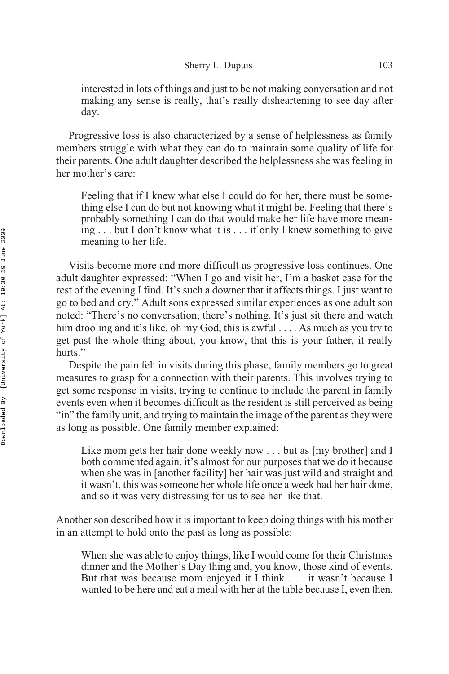interested in lots of things and just to be not making conversation and not making any sense is really, that's really disheartening to see day after day.

Progressive loss is also characterized by a sense of helplessness as family members struggle with what they can do to maintain some quality of life for their parents. One adult daughter described the helplessness she was feeling in her mother's care:

Feeling that if I knew what else I could do for her, there must be something else I can do but not knowing what it might be. Feeling that there's probably something I can do that would make her life have more meaning . . . but I don't know what it is . . . if only I knew something to give meaning to her life.

Visits become more and more difficult as progressive loss continues. One adult daughter expressed: "When I go and visit her, I'm a basket case for the rest of the evening I find. It's such a downer that it affects things. I just want to go to bed and cry." Adult sons expressed similar experiences as one adult son noted: "There's no conversation, there's nothing. It's just sit there and watch him drooling and it's like, oh my God, this is awful . . . . As much as you try to get past the whole thing about, you know, that this is your father, it really hurts."

Despite the pain felt in visits during this phase, family members go to great measures to grasp for a connection with their parents. This involves trying to get some response in visits, trying to continue to include the parent in family events even when it becomes difficult as the resident is still perceived as being "in" the family unit, and trying to maintain the image of the parent as they were as long as possible. One family member explained:

Like mom gets her hair done weekly now . . . but as [my brother] and I both commented again, it's almost for our purposes that we do it because when she was in [another facility] her hair was just wild and straight and it wasn't, this was someone her whole life once a week had her hair done, and so it was very distressing for *us* to see her like that.

Another son described how it is important to keep doing things with his mother in an attempt to hold onto the past as long as possible:

When she was able to enjoy things, like I would come for their Christmas dinner and the Mother's Day thing and, you know, those kind of events. But that was because mom enjoyed it I think . . . it wasn't because I wanted to be here and eat a meal with her at the table because I, even then,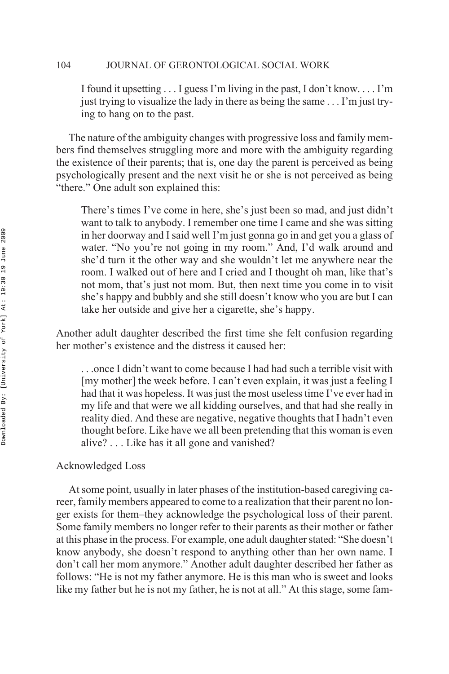I found it upsetting...I guess I'm living in the past, I don't know. . . . I'm just trying to visualize the lady in there as being the same . . . I'm just trying to hang on to the past.

The nature of the ambiguity changes with progressive loss and family members find themselves struggling more and more with the ambiguity regarding the existence of their parents; that is, one day the parent is perceived as being psychologically present and the next visit he or she is not perceived as being "there." One adult son explained this:

There's times I've come in here, she's just been so mad, and just didn't want to talk to anybody. I remember one time I came and she was sitting in her doorway and I said well I'm just gonna go in and get you a glass of water. "No you're not going in my room." And, I'd walk around and she'd turn it the other way and she wouldn't let me anywhere near the room. I walked out of here and I cried and I thought oh man, like that's not mom, that's just not mom. But, then next time you come in to visit she's happy and bubbly and she still doesn't know who you are but I can take her outside and give her a cigarette, she's happy.

Another adult daughter described the first time she felt confusion regarding her mother's existence and the distress it caused her:

. . .once I didn't want to come because I had had such a terrible visit with [my mother] the week before. I can't even explain, it was just a feeling I had that it was hopeless. It was just the most useless time I've ever had in my life and that were we all kidding ourselves, and that had she really in reality died. And these are *negative, negative* thoughts that I hadn't even thought before. Like have we all been pretending that this woman is even alive?... Like has it all gone and vanished?

# *Acknowledged Loss*

At some point, usually in later phases of the institution-based caregiving career, family members appeared to come to a realization that their parent no longer exists for them–they acknowledge the psychological loss of their parent. Some family members no longer refer to their parents as their mother or father at this phase in the process. For example, one adult daughter stated: "She doesn't know anybody, she doesn't respond to anything other than her own name. I don't call her mom anymore." Another adult daughter described her father as follows: "He is not my father anymore. He is this man who is sweet and looks like my father but he is not my father, he is not at all." At this stage, some fam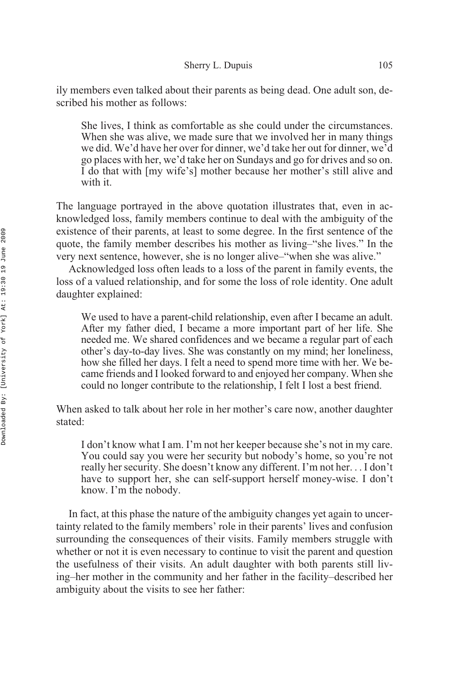ily members even talked about their parents as being dead. One adult son, described his mother as follows:

She lives, I think as comfortable as she could under the circumstances. When she was alive, we made sure that we involved her in many things we did. We'd have her over for dinner, we'd take her out for dinner, we'd go places with her, we'd take her on Sundays and go for drives and so on. I do that with [my wife's] mother because her mother's still alive and with it.

The language portrayed in the above quotation illustrates that, even in acknowledged loss, family members continue to deal with the ambiguity of the existence of their parents, at least to some degree. In the first sentence of the quote, the family member describes his mother as living–"she lives." In the very next sentence, however, she is no longer alive–"when she was alive."

Acknowledged loss often leads to a loss of the parent in family events, the loss of a valued relationship, and for some the loss of role identity. One adult daughter explained:

We used to have a parent-child relationship, even after I became an adult. After my father died, I became a more important part of her life. *She* needed me. We shared confidences and we became a regular part of each other's day-to-day lives. She was constantly on my mind; her loneliness, how she filled her days. I felt a need to spend more time with her. We became friends and I looked forward to and enjoyed her company. When she could no longer contribute to the relationship, I felt I lost a best friend.

When asked to talk about her role in her mother's care now, another daughter stated:

I don't know what I am. I'm not her keeper because she's not in my care. You could say you were her security but nobody's home, so you're not really her security. She doesn't know any different. I'm not her...I don't have to support her, she can self-support herself money-wise. I don't know. I'm the nobody.

In fact, at this phase the nature of the ambiguity changes yet again to uncertainty related to the family members' role in their parents' lives and confusion surrounding the consequences of their visits. Family members struggle with whether or not it is even necessary to continue to visit the parent and question the usefulness of their visits. An adult daughter with both parents still living–her mother in the community and her father in the facility–described her ambiguity about the visits to see her father: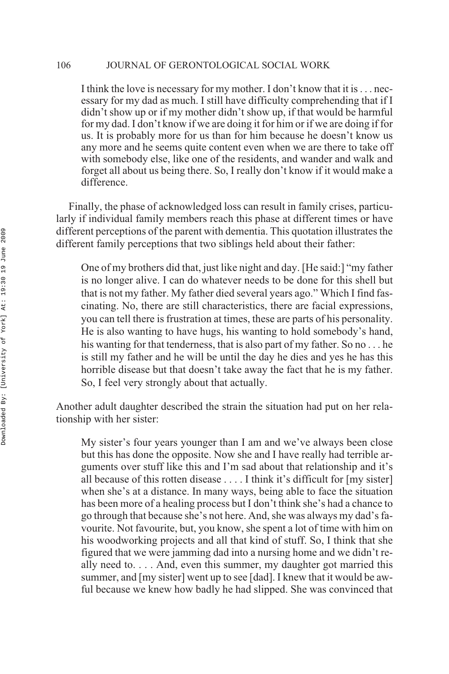I think the love is necessary for my mother. I don't know that it is. . . necessary for my dad as much. I still have difficulty comprehending that if I didn't show up or if my mother didn't show up, if that would be harmful for my dad. I don't know if we are doing it for him or if we are doing if for us. It is probably more for us than for him because he doesn't know us any more and he seems quite content even when we are there to take off with somebody else, like one of the residents, and wander and walk and forget all about us being there. So, I really don't know if it would make a difference.

Finally, the phase of acknowledged loss can result in family crises, particularly if individual family members reach this phase at different times or have different perceptions of the parent with dementia. This quotation illustrates the different family perceptions that two siblings held about their father:

One of my brothers did that, just like night and day. [He said:] "my father is no longer alive. I can do whatever needs to be done for this shell but that is not my father. My father died several years ago." Which I find fascinating. No, there are still characteristics, there are facial expressions, you can tell there is frustration at times, these are parts of his personality. He is also wanting to have hugs, his wanting to hold somebody's hand, his wanting for that tenderness, that is also part of my father. So no ... he is still my father and he will be until the day he dies and yes he has this horrible disease but that doesn't take away the fact that he is my father. So, I feel very strongly about that actually.

Another adult daughter described the strain the situation had put on her relationship with her sister:

My sister's four years younger than I am and we've always been close but this has done the opposite. Now she and I have really had terrible arguments over stuff like this and I'm sad about that relationship and it's all because of this rotten disease....I think it's difficult for [my sister] when she's at a distance. In many ways, being able to face the situation has been more of a healing process but I don't think she's had a chance to go through that because she's not here. And, she was always my dad's favourite. Not favourite, but, you know, she spent a lot of time with him on his woodworking projects and all that kind of stuff. So, I think that she figured that we were jamming dad into a nursing home and we didn't really need to.... And, even this summer, my daughter got married this summer, and [my sister] went up to see [dad]. I knew that it would be awful because we knew how badly he had slipped. She was convinced that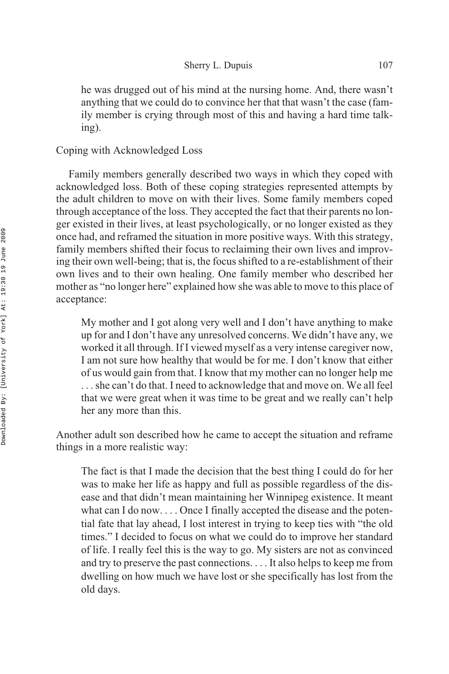he was drugged out of his mind at the nursing home. And, there wasn't anything that we could do to convince her that that wasn't the case (*family member is crying through most of this and having a hard time talking*).

*Coping with Acknowledged Loss*

Family members generally described two ways in which they coped with acknowledged loss. Both of these coping strategies represented attempts by the adult children to move on with their lives. Some family members coped through *acceptance* of the loss. They accepted the fact that their parents no longer existed in their lives, at least psychologically, or no longer existed as they once had, and reframed the situation in more positive ways. With this strategy, family members shifted their focus to reclaiming their own lives and improving their own well-being; that is, the focus shifted to a re-establishment of their own lives and to their own healing. One family member who described her mother as "no longer here" explained how she was able to move to this place of acceptance:

My mother and I got along very well and I don't have anything to make up for and I don't have any unresolved concerns. We didn't have any, we worked it all through. If I viewed myself as a very intense caregiver now, I am not sure how healthy that would be for me. I don't know that either of us would gain from that. I know that my mother can no longer help me ... she can't do that. I need to acknowledge that and move on. We all feel that we were great when it was time to be great and we really can't help her any more than this.

Another adult son described how he came to accept the situation and reframe things in a more realistic way:

The fact is that I made the decision that the best thing I could do for her was to make her life as happy and full as possible regardless of the disease and that didn't mean maintaining her Winnipeg existence. It meant what can I do *now*.... Once I finally accepted the disease and the potential fate that lay ahead, I lost interest in trying to keep ties with "the old times." I decided to focus on what we could do to improve her standard of life. I really feel this is the way to go. My sisters are not as convinced and try to preserve the past connections. . . . It also helps to keep me from dwelling on how much we have lost or she specifically has lost from the old days.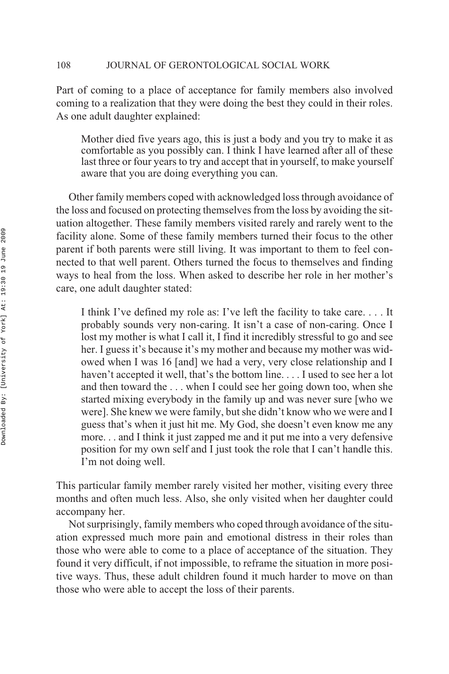Part of coming to a place of acceptance for family members also involved coming to a realization that they were doing the best they could in their roles. As one adult daughter explained:

Mother died five years ago, this is just a body and you try to make it as comfortable as you possibly can. I think I have learned after all of these last three or four years to try and accept that in yourself, to make yourself aware that you are doing everything you can.

Other family members coped with acknowledged loss through *avoidance* of the loss and focused on protecting themselves from the loss by avoiding the situation altogether. These family members visited rarely and rarely went to the facility alone. Some of these family members turned their focus to the other parent if both parents were still living. It was important to them to feel connected to that well parent. Others turned the focus to themselves and finding ways to heal from the loss. When asked to describe her role in her mother's care, one adult daughter stated:

I think I've defined my role as: I've left the facility to take care. . . . It probably sounds very non-caring. It isn't a case of non-caring. Once I lost my mother is what I call it, I find it incredibly stressful to go and see her. I guess it's because it's *my* mother and because my mother was widowed when I was 16 [and] we had a very, very close relationship and I haven't accepted it well, that's the bottom line. . . . I used to see her a lot and then toward the... when I could see her going down too, when she started mixing everybody in the family up and was never sure [who we were]. She knew we were family, but she didn't know who we were and I guess that's when it just hit me. My God, she doesn't even know me any more. . . and I think it just zapped me and it put me into a very defensive position for my own self and I just took the role that I can't handle this. I'm not doing well.

This particular family member rarely visited her mother, visiting every three months and often much less. Also, she only visited when her daughter could accompany her.

Not surprisingly, family members who coped through avoidance of the situation expressed much more pain and emotional distress in their roles than those who were able to come to a place of acceptance of the situation. They found it very difficult, if not impossible, to reframe the situation in more positive ways. Thus, these adult children found it much harder to move on than those who were able to accept the loss of their parents.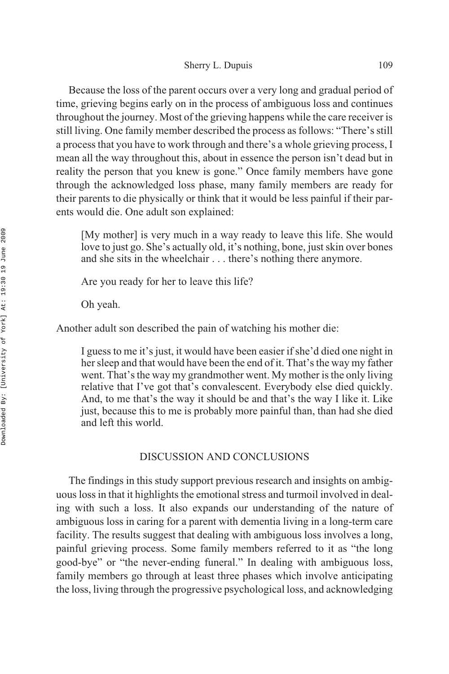Because the loss of the parent occurs over a very long and gradual period of time, grieving begins early on in the process of ambiguous loss and continues throughout the journey. Most of the grieving happens while the care receiver is still living. One family member described the process as follows: "There's still a process that you have to work through and there's a whole grieving process, I mean all the way throughout this, about in essence the person isn't dead but in reality the person that you knew is gone." Once family members have gone through the acknowledged loss phase, many family members are ready for their parents to die physically or think that it would be less painful if their parents would die. One adult son explained:

[My mother] is very much in a way ready to leave this life. She would love to just go. She's actually old, it's nothing, bone, just skin over bones and she sits in the wheelchair... there's nothing there anymore.

*Are you ready for her to leave this life?*

Oh yeah.

Another adult son described the pain of watching his mother die:

I guess to me it's just, it would have been easier if she'd died one night in her sleep and that would have been the end of it. That's the way my father went. That's the way my grandmother went. My mother is the only living relative that I've got that's convalescent. Everybody else died quickly. And, to me that's the way it should be and that's the way I like it. Like just, because this to me is probably more painful than, than had she died and left this world.

#### *DISCUSSION AND CONCLUSIONS*

The findings in this study support previous research and insights on ambiguous loss in that it highlights the emotional stress and turmoil involved in dealing with such a loss. It also expands our understanding of the nature of ambiguous loss in caring for a parent with dementia living in a long-term care facility. The results suggest that dealing with ambiguous loss involves a long, painful grieving process. Some family members referred to it as "the long good-bye" or "the never-ending funeral." In dealing with ambiguous loss, family members go through at least three phases which involve anticipating the loss, living through the progressive psychological loss, and acknowledging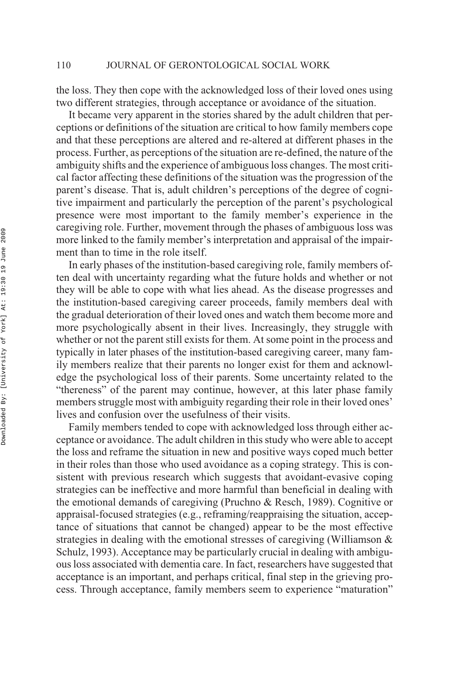the loss. They then cope with the acknowledged loss of their loved ones using two different strategies, through acceptance or avoidance of the situation.

It became very apparent in the stories shared by the adult children that perceptions or definitions of the situation are critical to how family members cope and that these perceptions are altered and re-altered at different phases in the process. Further, as perceptions of the situation are re-defined, the nature of the ambiguity shifts and the experience of ambiguous loss changes. The most critical factor affecting these definitions of the situation was the progression of the parent's disease. That is, adult children's perceptions of the degree of cognitive impairment and particularly the perception of the parent's psychological presence were most important to the family member's experience in the caregiving role. Further, movement through the phases of ambiguous loss was more linked to the family member's interpretation and appraisal of the impairment than to time in the role itself.

In early phases of the institution-based caregiving role, family members often deal with uncertainty regarding what the future holds and whether or not they will be able to cope with what lies ahead. As the disease progresses and the institution-based caregiving career proceeds, family members deal with the gradual deterioration of their loved ones and watch them become more and more psychologically absent in their lives. Increasingly, they struggle with whether or not the parent still exists for them. At some point in the process and typically in later phases of the institution-based caregiving career, many family members realize that their parents no longer exist for them and acknowledge the psychological loss of their parents. Some uncertainty related to the "thereness" of the parent may continue, however, at this later phase family members struggle most with ambiguity regarding their role in their loved ones' lives and confusion over the usefulness of their visits.

Family members tended to cope with acknowledged loss through either acceptance or avoidance. The adult children in this study who were able to accept the loss and reframe the situation in new and positive ways coped much better in their roles than those who used avoidance as a coping strategy. This is consistent with previous research which suggests that avoidant-evasive coping strategies can be ineffective and more harmful than beneficial in dealing with the emotional demands of caregiving (Pruchno & Resch, 1989). Cognitive or appraisal-focused strategies (e.g., reframing/reappraising the situation, acceptance of situations that cannot be changed) appear to be the most effective strategies in dealing with the emotional stresses of caregiving (Williamson & Schulz, 1993). Acceptance may be particularly crucial in dealing with ambiguous loss associated with dementia care. In fact, researchers have suggested that acceptance is an important, and perhaps critical, final step in the grieving process. Through acceptance, family members seem to experience "maturation"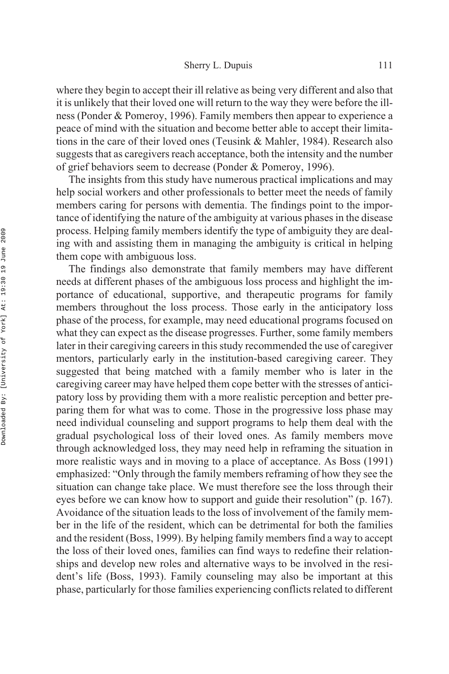where they begin to accept their ill relative as being very different and also that it is unlikely that their loved one will return to the way they were before the illness (Ponder & Pomeroy, 1996). Family members then appear to experience a peace of mind with the situation and become better able to accept their limitations in the care of their loved ones (Teusink & Mahler, 1984). Research also suggests that as caregivers reach acceptance, both the intensity and the number of grief behaviors seem to decrease (Ponder & Pomeroy, 1996).

The insights from this study have numerous practical implications and may help social workers and other professionals to better meet the needs of family members caring for persons with dementia. The findings point to the importance of identifying the nature of the ambiguity at various phases in the disease process. Helping family members identify the type of ambiguity they are dealing with and assisting them in managing the ambiguity is critical in helping them cope with ambiguous loss.

The findings also demonstrate that family members may have different needs at different phases of the ambiguous loss process and highlight the importance of educational, supportive, and therapeutic programs for family members throughout the loss process. Those early in the anticipatory loss phase of the process, for example, may need educational programs focused on what they can expect as the disease progresses. Further, some family members later in their caregiving careers in this study recommended the use of caregiver mentors, particularly early in the institution-based caregiving career. They suggested that being matched with a family member who is later in the caregiving career may have helped them cope better with the stresses of anticipatory loss by providing them with a more realistic perception and better preparing them for what was to come. Those in the progressive loss phase may need individual counseling and support programs to help them deal with the gradual psychological loss of their loved ones. As family members move through acknowledged loss, they may need help in reframing the situation in more realistic ways and in moving to a place of acceptance. As Boss (1991) emphasized: "Only through the family members reframing of how they see the situation can change take place. We must therefore see the loss *through their* eyes before we can know how to support and guide their resolution" (p. 167). Avoidance of the situation leads to the loss of involvement of the family member in the life of the resident, which can be detrimental for both the families and the resident (Boss, 1999). By helping family members find a way to accept the loss of their loved ones, families can find ways to redefine their relationships and develop new roles and alternative ways to be involved in the resident's life (Boss, 1993). Family counseling may also be important at this phase, particularly for those families experiencing conflicts related to different

Downloaded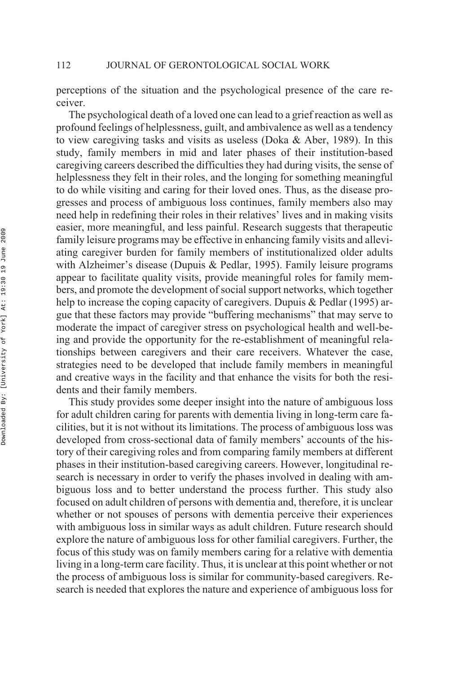perceptions of the situation and the psychological presence of the care receiver.

The psychological death of a loved one can lead to a grief reaction as well as profound feelings of helplessness, guilt, and ambivalence as well as a tendency to view caregiving tasks and visits as useless (Doka & Aber, 1989). In this study, family members in mid and later phases of their institution-based caregiving careers described the difficulties they had during visits, the sense of helplessness they felt in their roles, and the longing for something meaningful to do while visiting and caring for their loved ones. Thus, as the disease progresses and process of ambiguous loss continues, family members also may need help in redefining their roles in their relatives' lives and in making visits easier, more meaningful, and less painful. Research suggests that therapeutic family leisure programs may be effective in enhancing family visits and alleviating caregiver burden for family members of institutionalized older adults with Alzheimer's disease (Dupuis & Pedlar, 1995). Family leisure programs appear to facilitate quality visits, provide meaningful roles for family members, and promote the development of social support networks, which together help to increase the coping capacity of caregivers. Dupuis & Pedlar (1995) argue that these factors may provide "buffering mechanisms" that may serve to moderate the impact of caregiver stress on psychological health and well-being and provide the opportunity for the re-establishment of meaningful relationships between caregivers and their care receivers. Whatever the case, strategies need to be developed that include family members in meaningful and creative ways in the facility and that enhance the visits for both the residents and their family members.

This study provides some deeper insight into the nature of ambiguous loss for adult children caring for parents with dementia living in long-term care facilities, but it is not without its limitations. The process of ambiguous loss was developed from cross-sectional data of family members' accounts of the history of their caregiving roles and from comparing family members at different phases in their institution-based caregiving careers. However, longitudinal research is necessary in order to verify the phases involved in dealing with ambiguous loss and to better understand the process further. This study also focused on adult children of persons with dementia and, therefore, it is unclear whether or not spouses of persons with dementia perceive their experiences with ambiguous loss in similar ways as adult children. Future research should explore the nature of ambiguous loss for other familial caregivers. Further, the focus of this study was on family members caring for a relative with dementia living in a long-term care facility. Thus, it is unclear at this point whether or not the process of ambiguous loss is similar for community-based caregivers. Research is needed that explores the nature and experience of ambiguous loss for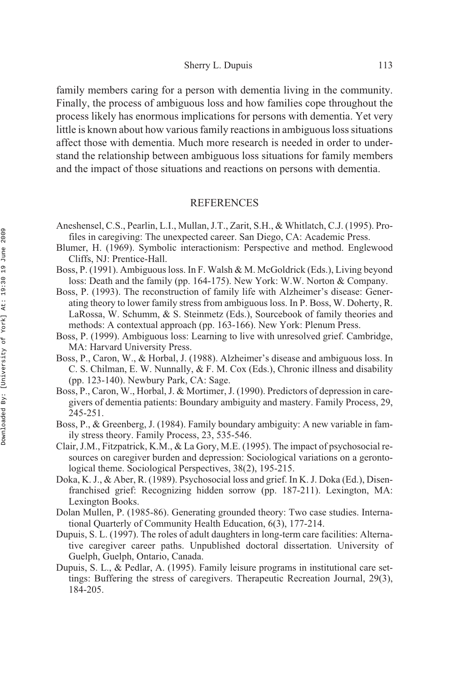family members caring for a person with dementia living in the community. Finally, the process of ambiguous loss and how families cope throughout the process likely has enormous implications for persons with dementia. Yet very little is known about how various family reactions in ambiguous loss situations affect those with dementia. Much more research is needed in order to understand the relationship between ambiguous loss situations for family members and the impact of those situations and reactions on persons with dementia.

# REFERENCES

- Aneshensel, C.S., Pearlin, L.I., Mullan, J.T., Zarit, S.H., & Whitlatch, C.J. (1995). *Profiles in caregiving: The unexpected career.* San Diego, CA: Academic Press.
- Blumer, H. (1969). *Symbolic interactionism: Perspective and method.* Englewood Cliffs, NJ: Prentice-Hall.
- Boss, P. (1991). Ambiguous loss. In F. Walsh & M. McGoldrick (Eds.), *Living beyond loss: Death and the family* (pp. 164-175). New York: W.W. Norton & Company.
- Boss, P. (1993). The reconstruction of family life with Alzheimer's disease: Generating theory to lower family stress from ambiguous loss. In P. Boss, W. Doherty, R. LaRossa, W. Schumm, & S. Steinmetz (Eds.), *Sourcebook of family theories and methods: A contextual approach* (pp. 163-166). New York: Plenum Press.
- Boss, P. (1999). *Ambiguous loss: Learning to live with unresolved grief.* Cambridge, MA: Harvard University Press.
- Boss, P., Caron, W., & Horbal, J. (1988). Alzheimer's disease and ambiguous loss. In C. S. Chilman, E. W. Nunnally, & F. M. Cox (Eds.), *Chronic illness and disability* (pp. 123-140). Newbury Park, CA: Sage.
- Boss, P., Caron, W., Horbal, J. & Mortimer, J. (1990). Predictors of depression in caregivers of dementia patients: Boundary ambiguity and mastery. *Family Process*, *29*, 245-251.
- Boss, P., & Greenberg, J. (1984). Family boundary ambiguity: A new variable in family stress theory. *Family Process*, *23*, 535-546.
- Clair, J.M., Fitzpatrick, K.M., & La Gory, M.E. (1995). The impact of psychosocial resources on caregiver burden and depression: Sociological variations on a gerontological theme. *Sociological Perspectives*, *38*(2), 195-215.
- Doka, K. J., & Aber, R. (1989). Psychosocial loss and grief. In K. J. Doka (Ed.), *Disenfranchised grief: Recognizing hidden sorrow* (pp. 187-211). Lexington, MA: Lexington Books.
- Dolan Mullen, P. (1985-86). Generating grounded theory: Two case studies. *International Quarterly of Community Health Education*, *6*(3), 177-214.
- Dupuis, S. L. (1997). *The roles of adult daughters in long-term care facilities: Alternative caregiver career paths.* Unpublished doctoral dissertation. University of Guelph, Guelph, Ontario, Canada.
- Dupuis, S. L., & Pedlar, A. (1995). Family leisure programs in institutional care settings: Buffering the stress of caregivers. *Therapeutic Recreation Journal*, *29*(3), 184-205.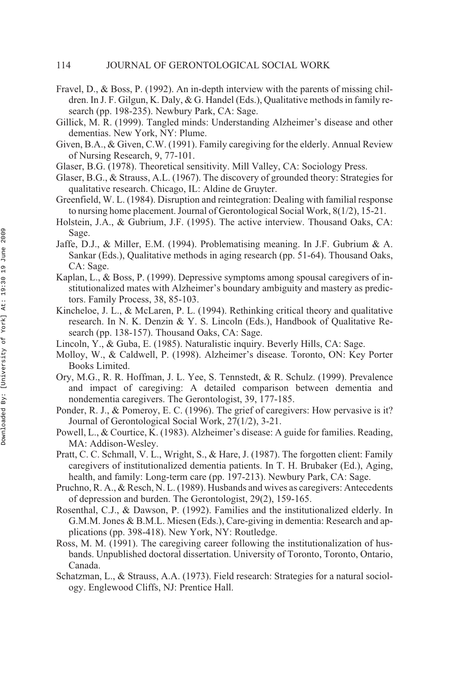- Fravel, D., & Boss, P. (1992). An in-depth interview with the parents of missing children. In J. F. Gilgun, K. Daly, & G. Handel (Eds.), *Qualitative methods in family research* (pp. 198-235). Newbury Park, CA: Sage.
- Gillick, M. R. (1999). *Tangled minds: Understanding Alzheimer's disease and other dementias.* New York, NY: Plume.
- Given, B.A., & Given, C.W. (1991). Family caregiving for the elderly. *Annual Review of Nursing Research*, *9*, 77-101.
- Glaser, B.G. (1978). *Theoretical sensitivity.* Mill Valley, CA: Sociology Press.
- Glaser, B.G., & Strauss, A.L. (1967). *The discovery of grounded theory: Strategies for qualitative research.* Chicago, IL: Aldine de Gruyter.
- Greenfield, W. L. (1984). Disruption and reintegration: Dealing with familial response to nursing home placement.*Journal of Gerontological Social Work*, *8*(1/2), 15-21.
- Holstein, J.A., & Gubrium, J.F. (1995). *The active interview.* Thousand Oaks, CA: Sage.
- Jaffe, D.J., & Miller, E.M. (1994). Problematising meaning. In J.F. Gubrium & A. Sankar (Eds.), *Qualitative methods in aging research* (pp. 51-64). Thousand Oaks, CA: Sage.
- Kaplan, L., & Boss, P. (1999). Depressive symptoms among spousal caregivers of institutionalized mates with Alzheimer's boundary ambiguity and mastery as predictors. *Family Process*, *38*, 85-103.
- Kincheloe, J. L., & McLaren, P. L. (1994). Rethinking critical theory and qualitative research. In N. K. Denzin & Y. S. Lincoln (Eds.), *Handbook of Qualitative Research* (pp. 138-157). Thousand Oaks, CA: Sage.
- Lincoln, Y., & Guba, E. (1985). *Naturalistic inquiry.* Beverly Hills, CA: Sage.
- Molloy, W., & Caldwell, P. (1998). *Alzheimer's disease.* Toronto, ON: Key Porter Books Limited.
- Ory, M.G., R. R. Hoffman, J. L. Yee, S. Tennstedt, & R. Schulz. (1999). Prevalence and impact of caregiving: A detailed comparison between dementia and nondementia caregivers. *The Gerontologist*, *39*, 177-185.
- Ponder, R. J., & Pomeroy, E. C. (1996). The grief of caregivers: How pervasive is it? *Journal of Gerontological Social Work*, *27*(1/2), 3-21.
- Powell, L., & Courtice, K. (1983). *Alzheimer's disease: A guide for families.* Reading, MA: Addison-Wesley.
- Pratt, C. C. Schmall, V. L., Wright, S., & Hare, J. (1987). The forgotten client: Family caregivers of institutionalized dementia patients. In T. H. Brubaker (Ed.), *Aging, health, and family: Long-term care* (pp. 197-213). Newbury Park, CA: Sage.
- Pruchno, R. A., & Resch, N. L. (1989). Husbands and wives as caregivers: Antecedents of depression and burden. *The Gerontologist*, *29*(2), 159-165.
- Rosenthal, C.J., & Dawson, P. (1992). Families and the institutionalized elderly. In G.M.M. Jones & B.M.L. Miesen (Eds.), *Care-giving in dementia: Research and applications* (pp. 398-418). New York, NY: Routledge.
- Ross, M. M. (1991). *The caregiving career following the institutionalization of husbands.* Unpublished doctoral dissertation. University of Toronto, Toronto, Ontario, Canada.
- Schatzman, L., & Strauss, A.A. (1973). *Field research: Strategies for a natural sociology.* Englewood Cliffs, NJ: Prentice Hall.